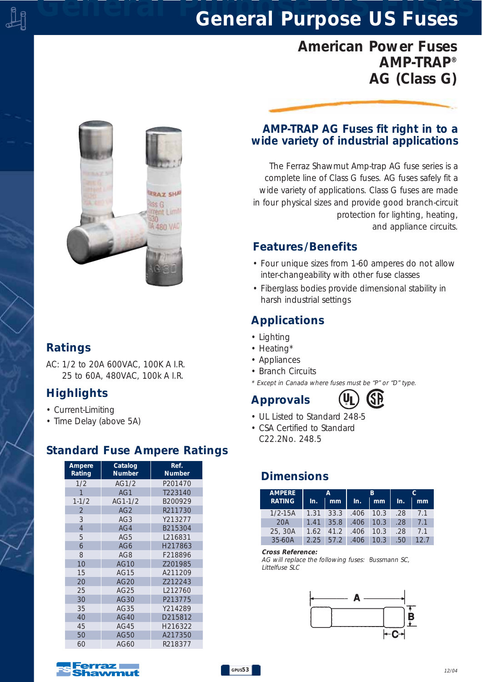# *General Purpose US Fuses General Purpose US Fuses*

# *American Power Fuses AMP-TRAP® AG (Class G)*

**RRAZ SHA** iss G **Trent Limit** A 480 VAC

#### *Ratings*

*AC: 1/2 to 20A 600VAC, 100K A I.R. 25 to 60A, 480VAC, 100k A I.R.*

### *Highlights*

- *Current-Limiting*
- *Time Delay (above 5A)*

## *Standard Fuse Ampere Ratings*

| Ampere<br>Rating | Catalog<br><b>Number</b> | Ref.<br><b>Number</b> |  |
|------------------|--------------------------|-----------------------|--|
| 1/2              | AG1/2                    | P201470               |  |
| 1                | AG1                      | T223140               |  |
| $1 - 1/2$        | AG1-1/2                  | B200929               |  |
| $\overline{2}$   | AG2                      | R211730               |  |
| 3                | AG3                      | Y213277               |  |
| $\overline{4}$   | AG4                      | B215304               |  |
| 5                | AG5                      | L216831               |  |
| 6                | AG6                      | H217863               |  |
| 8                | AG8                      | F218896               |  |
| 10               | AG10                     | 7201985               |  |
| 15               | AG15                     | A211209               |  |
| 20               | AG20                     | 7212243               |  |
| 25               | AG25                     | L212760               |  |
| 30               | AG30                     | P213775               |  |
| 35               | AG35                     | Y214289               |  |
| 40               | AG40                     | D215812               |  |
| 45               | AG45                     | H216322               |  |
| 50               | AG50                     | A217350               |  |
| 60               | AG60                     | R218377               |  |

#### *AMP-TRAP AG Fuses fit right in to a wide variety of industrial applications*

*The Ferraz Shawmut Amp-trap AG fuse series is a complete line of Class G fuses. AG fuses safely fit a wide variety of applications. Class G fuses are made in four physical sizes and provide good branch-circuit protection for lighting, heating, and appliance circuits.*

#### *Features /Benefits*

- *Four unique sizes from 1-60 amperes do not allow inter-changeability with other fuse classes*
- *Fiberglass bodies provide dimensional stability in harsh industrial settings*

### *Applications*

- *Lighting*
- *Heating\**
- *Appliances*
- *Branch Circuits*
- *\* Except in Canada where fuses must be "P" or "D" type.*

# *Approvals*



- *UL Listed to Standard 248-5*
- *CSA Certified to Standard C22.2No. 248.5*

### *Dimensions*

| <b>AMPERE</b> | A    |      | R           |               |     |      |
|---------------|------|------|-------------|---------------|-----|------|
| <b>RATING</b> | In.  | mm   | In.         | mm            | In. | mm   |
| $1/2 - 15A$   | 1.31 | 33.3 | $.406$ 10.3 |               | .28 | 71   |
| 20A           | 1.41 | 35.8 |             | $.406$   10.3 | .28 | 71   |
| 25, 30A       | 1.62 | 41.2 | .406        | 10.3          | .28 | 71   |
| 35-60A        | 2.25 | 57.2 | $.406$ 10.3 |               | .50 | 12.7 |

#### *Cross Reference:*

*AG will replace the following fuses: Bussmann SC, Littelfuse SLC*